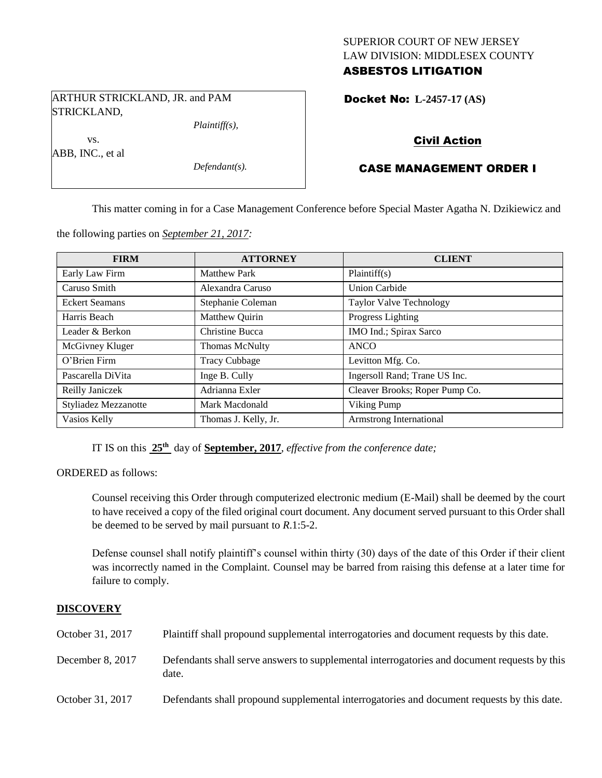## SUPERIOR COURT OF NEW JERSEY LAW DIVISION: MIDDLESEX COUNTY ASBESTOS LITIGATION

Docket No: **L-2457-17 (AS)** 

ARTHUR STRICKLAND, JR. and PAM STRICKLAND,

vs. ABB, INC., et al *Plaintiff(s),*

*Defendant(s).*

## Civil Action

# CASE MANAGEMENT ORDER I

This matter coming in for a Case Management Conference before Special Master Agatha N. Dzikiewicz and

the following parties on *September 21, 2017:*

| <b>FIRM</b>           | <b>ATTORNEY</b>      | <b>CLIENT</b>                  |
|-----------------------|----------------------|--------------------------------|
| Early Law Firm        | <b>Matthew Park</b>  | Plaintiff(s)                   |
| Caruso Smith          | Alexandra Caruso     | Union Carbide                  |
| <b>Eckert Seamans</b> | Stephanie Coleman    | <b>Taylor Valve Technology</b> |
| Harris Beach          | Matthew Quirin       | Progress Lighting              |
| Leader & Berkon       | Christine Bucca      | IMO Ind.; Spirax Sarco         |
| McGivney Kluger       | Thomas McNulty       | <b>ANCO</b>                    |
| O'Brien Firm          | <b>Tracy Cubbage</b> | Levitton Mfg. Co.              |
| Pascarella DiVita     | Inge B. Cully        | Ingersoll Rand; Trane US Inc.  |
| Reilly Janiczek       | Adrianna Exler       | Cleaver Brooks; Roper Pump Co. |
| Styliadez Mezzanotte  | Mark Macdonald       | Viking Pump                    |
| Vasios Kelly          | Thomas J. Kelly, Jr. | Armstrong International        |

IT IS on this **25th** day of **September, 2017**, *effective from the conference date;*

ORDERED as follows:

Counsel receiving this Order through computerized electronic medium (E-Mail) shall be deemed by the court to have received a copy of the filed original court document. Any document served pursuant to this Order shall be deemed to be served by mail pursuant to *R*.1:5-2.

Defense counsel shall notify plaintiff's counsel within thirty (30) days of the date of this Order if their client was incorrectly named in the Complaint. Counsel may be barred from raising this defense at a later time for failure to comply.

### **DISCOVERY**

| October 31, 2017 | Plaintiff shall propound supplemental interrogatories and document requests by this date.             |
|------------------|-------------------------------------------------------------------------------------------------------|
| December 8, 2017 | Defendants shall serve answers to supplemental interrogatories and document requests by this<br>date. |
| October 31, 2017 | Defendants shall propound supplemental interrogatories and document requests by this date.            |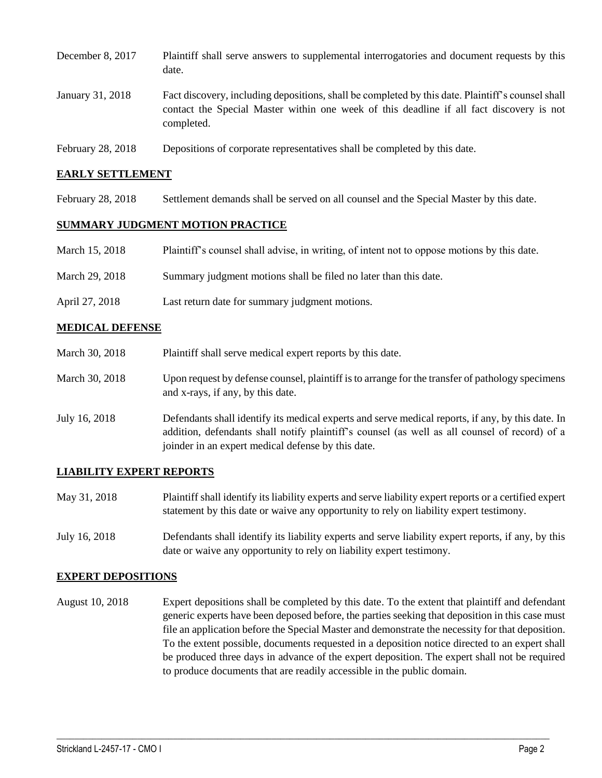| December 8, 2017  | Plaintiff shall serve answers to supplemental interrogatories and document requests by this<br>date.                                                                                                        |
|-------------------|-------------------------------------------------------------------------------------------------------------------------------------------------------------------------------------------------------------|
| January 31, 2018  | Fact discovery, including depositions, shall be completed by this date. Plaintiff's counsel shall<br>contact the Special Master within one week of this deadline if all fact discovery is not<br>completed. |
| February 28, 2018 | Depositions of corporate representatives shall be completed by this date.                                                                                                                                   |

### **EARLY SETTLEMENT**

February 28, 2018 Settlement demands shall be served on all counsel and the Special Master by this date.

#### **SUMMARY JUDGMENT MOTION PRACTICE**

| March 15, 2018 | Plaintiff's counsel shall advise, in writing, of intent not to oppose motions by this date. |
|----------------|---------------------------------------------------------------------------------------------|
|                |                                                                                             |

- March 29, 2018 Summary judgment motions shall be filed no later than this date.
- April 27, 2018 Last return date for summary judgment motions.

#### **MEDICAL DEFENSE**

- March 30, 2018 Plaint if shall serve medical expert reports by this date. March 30, 2018 Upon request by defense counsel, plaintiff is to arrange for the transfer of pathology specimens and x-rays, if any, by this date.
- July 16, 2018 Defendants shall identify its medical experts and serve medical reports, if any, by this date. In addition, defendants shall notify plaintiff's counsel (as well as all counsel of record) of a joinder in an expert medical defense by this date.

#### **LIABILITY EXPERT REPORTS**

- May 31, 2018 Plaintiff shall identify its liability experts and serve liability expert reports or a certified expert statement by this date or waive any opportunity to rely on liability expert testimony.
- July 16, 2018 Defendants shall identify its liability experts and serve liability expert reports, if any, by this date or waive any opportunity to rely on liability expert testimony.

#### **EXPERT DEPOSITIONS**

August 10, 2018 Expert depositions shall be completed by this date. To the extent that plaintiff and defendant generic experts have been deposed before, the parties seeking that deposition in this case must file an application before the Special Master and demonstrate the necessity for that deposition. To the extent possible, documents requested in a deposition notice directed to an expert shall be produced three days in advance of the expert deposition. The expert shall not be required to produce documents that are readily accessible in the public domain.

 $\_$  ,  $\_$  ,  $\_$  ,  $\_$  ,  $\_$  ,  $\_$  ,  $\_$  ,  $\_$  ,  $\_$  ,  $\_$  ,  $\_$  ,  $\_$  ,  $\_$  ,  $\_$  ,  $\_$  ,  $\_$  ,  $\_$  ,  $\_$  ,  $\_$  ,  $\_$  ,  $\_$  ,  $\_$  ,  $\_$  ,  $\_$  ,  $\_$  ,  $\_$  ,  $\_$  ,  $\_$  ,  $\_$  ,  $\_$  ,  $\_$  ,  $\_$  ,  $\_$  ,  $\_$  ,  $\_$  ,  $\_$  ,  $\_$  ,